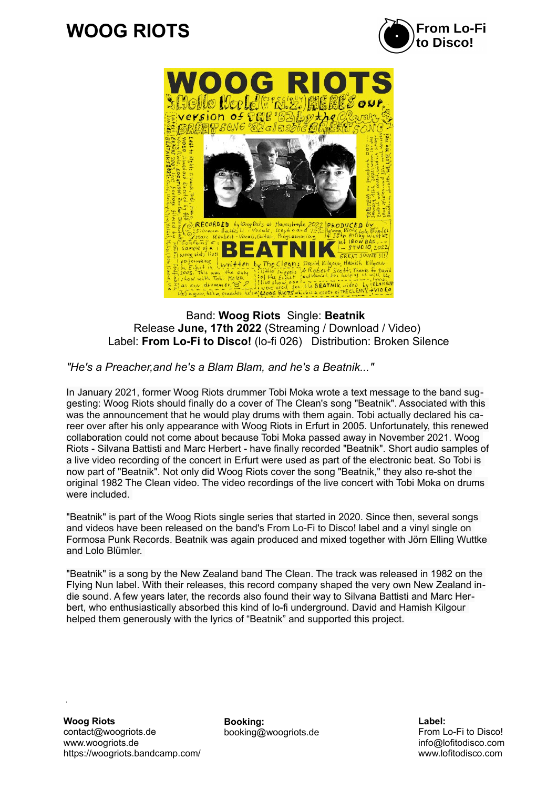## $\overline{a}$ **WOOG RIOTS**





Band: **Woog Riots** Single: **Beatnik**  Release **June, 17th 2022** (Streaming / Download / Video) Label: **From Lo-Fi to Disco!** (lo-fi 026) Distribution: Broken Silence

*"He's a Preacher,and he's a Blam Blam, and he's a Beatnik..."*

In January 2021, former Woog Riots drummer Tobi Moka wrote a text message to the band suggesting: Woog Riots should finally do a cover of The Clean's song "Beatnik". Associated with this was the announcement that he would play drums with them again. Tobi actually declared his career over after his only appearance with Woog Riots in Erfurt in 2005. Unfortunately, this renewed collaboration could not come about because Tobi Moka passed away in November 2021. Woog Riots - Silvana Battisti and Marc Herbert - have finally recorded "Beatnik". Short audio samples of a live video recording of the concert in Erfurt were used as part of the electronic beat. So Tobi is now part of "Beatnik". Not only did Woog Riots cover the song "Beatnik," they also re-shot the original 1982 The Clean video. The video recordings of the live concert with Tobi Moka on drums were included.

"Beatnik" is part of the Woog Riots single series that started in 2020. Since then, several songs and videos have been released on the band's From Lo-Fi to Disco! label and a vinyl single on Formosa Punk Records. Beatnik was again produced and mixed together with Jörn Elling Wuttke and Lolo Blümler.

"Beatnik" is a song by the New Zealand band The Clean. The track was released in 1982 on the Flying Nun label. With their releases, this record company shaped the very own New Zealand indie sound. A few years later, the records also found their way to Silvana Battisti and Marc Herbert, who enthusiastically absorbed this kind of lo-fi underground. David and Hamish Kilgour helped them generously with the lyrics of "Beatnik" and supported this project.

**Woog Riots** contact@woogriots.de www.woogriots.de https://woogriots.bandcamp.com/ **Booking:** booking@woogriots.de **Label:** From Lo-Fi to Disco! info@lofitodisco.com www.lofitodisco.com